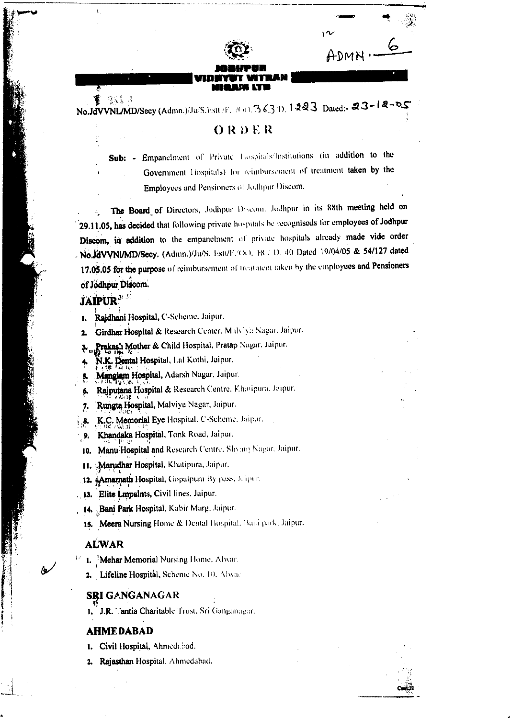

因為 法 ŧ No.JdVVNLMD/Secy (Admn.)/Ju/S.Estt/F. /GO.3630, 1223 Dated: 23-12-05

## ORDER

Empanelment of Private Liospitals/Institutions (in addition to the Sub: -Government Hospitals) for reimbursement of treatment taken by the Employees and Pensioners of Jodhpur Discom.

The Board of Directors, Jodhpur Discom. Jodhpur in its 88th meeting held on 29.11.05, has decided that following private hospitals be recogniseds for employees of Jodhpur Discom, in addition to the empanelment of private hospitals already made vide order - No.JdVVNI/MD/Secy. (Admn.)/Ju/S. Esti/F./OO, 18 / D. 40 Dated 19/04/05 & 54/127 dated 17.05.05 for the purpose of reimbursement of treatment taken by the employees and Pensioners of Jodhpur Discom.

# **JAIPUR**<sup>3</sup>

Rajdhani Hospital, C-Scheme, Jaipur. 1.

Girdhar Hospital & Research Center, Malviya Nagar, Jaipur. 2.

rakash Mother & Child Hospital, Pratap Nagar, Jaipur.

N.K. Dental Hospital, Lal Kothi, Jaipur.

Manglam Hospital, Adarsh Nagar, Jaipur. P.

Rajputana Hospital & Research Centre, Khatipura, Jaipur.

Rungta Hospital, Malviya Nagar, Jaipur.

K.C. Memorial Eye Hospital, C-Scheme, Jaipur.  $, 8.$ 

Khandaka Hospital, Tonk Road, Jaipur. 9.

Manu Hospital and Research Centre, Shyang Nagar, Jaipur, 10.

11. Marudhar Hospital, Khatipura, Jaipur.

12. **Amarnath Hospital**, Gopalpura By pass, Jaipur.

Elite Lmpalnts, Civil lines, Jaipur. 13.

14. Bani Park Hospital, Kabir Marg. Jaipur.

15. Meera Nursing Home & Dental Hospital, Bani park, Jaipur,

### **ALWAR**

1. Mehar Memorial Nursing Home. Alwar.

2. Lifeline Hospital, Scheme No. 10, Alwac

### **SRI GANGANAGAR**

J.R. Cantia Charitable Trust, Sri Ganganagar. 1.

### **AHMEDABAD**

1. Civil Hospital, Ahmedabad.

Rajasthan Hospital. Ahmedabad. 2.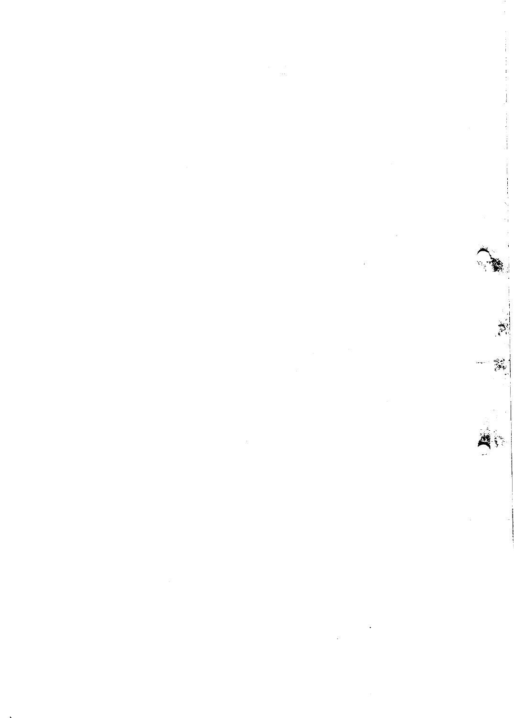$\label{eq:2.1} \frac{1}{\sqrt{2}}\left(\frac{1}{\sqrt{2}}\right)^{2} \left(\frac{1}{\sqrt{2}}\right)^{2} \left(\frac{1}{\sqrt{2}}\right)^{2} \left(\frac{1}{\sqrt{2}}\right)^{2} \left(\frac{1}{\sqrt{2}}\right)^{2} \left(\frac{1}{\sqrt{2}}\right)^{2} \left(\frac{1}{\sqrt{2}}\right)^{2} \left(\frac{1}{\sqrt{2}}\right)^{2} \left(\frac{1}{\sqrt{2}}\right)^{2} \left(\frac{1}{\sqrt{2}}\right)^{2} \left(\frac{1}{\sqrt{2}}\right)^{2} \left(\$ 

 $\frac{1}{2}$ 

 $\label{eq:2.1} \frac{1}{\sqrt{2}}\int_{0}^{\infty}\frac{1}{\sqrt{2\pi}}\left(\frac{1}{\sqrt{2\pi}}\right)^{2}d\mu_{\rm{eff}}$ 

 $\mathbb{R}$ 

 $\sim 10$ 

 $\mathcal{L}^{\text{max}}_{\text{max}}$  and  $\mathcal{L}^{\text{max}}_{\text{max}}$  $\ddot{\cdot}$  $\frac{1}{2}$ 

 $\frac{1}{\sqrt{2}}$